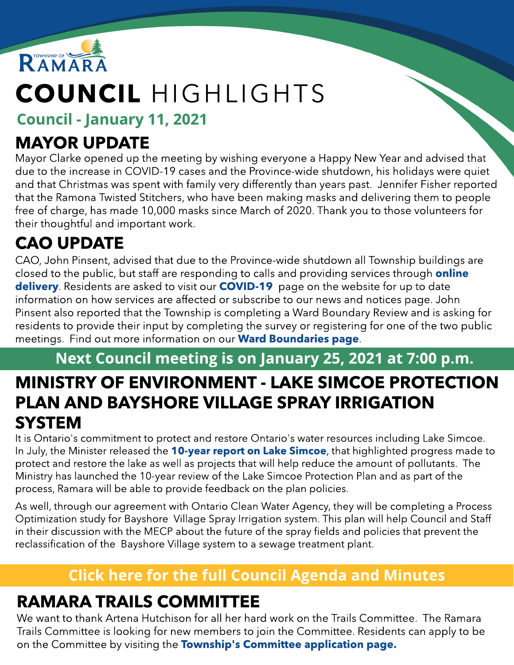

# COUNCIL HIGHLIGHTS

#### Council - January 11, 2021

## MAYOR UPDATE

Mayor Clarke opened up the meeting by wishing everyone a Happy New Year and advised that due to the increase in COVID-19 cases and the Province-wide shutdown, his holidays were quiet and that Christmas was spent with family very differently than years past. Jennifer Fisher reported that the Ramona Twisted Stitchers, who have been making masks and delivering them to people free of charge, has made 10,000 masks since March of 2020. Thank you to those volunteers for their thoughtful and important work.

## CAO UPDATE

CAO, John Pinsent, advised that due to the Province-wide shutdown all Township buildings are closed to the public, but staff are responding to calls and providing services through **[online](http://www.ramara.ca/onlineservices/)** [delivery](http://www.ramara.ca/onlineservices/). Residents are asked to visit our **[COVID-19](http://www.ramara.ca/COVID-19)** page on the website for up to date information on how services are affected or subscribe to our news and notices page. John Pinsent also reported that the Township is completing a Ward Boundary Review and is asking for residents to provide their input by completing the survey or registering for one of the two public meetings. Find out more information on our **[Ward](http://www.ramara.ca/ward-boundary-review/) [Boundaries](http://www.ramara.ca/ward-boundary-review/) [page](http://www.ramara.ca/ward-boundary-review/)**.

## Next Council meeting is on January 25, 2021 at 7:00 p.m. MINISTRY OF ENVIRONMENT - LAKE SIMCOE PROTECTION PLAN AND BAYSHORE VILLAGE SPRAY IRRIGATION **SYSTEM**

It is Ontario's commitment to protect and restore Ontario's water resources including Lake Simcoe. In July, the Minister released the [10-year](https://www.ontario.ca/page/ministers-10-year-report-lake-simcoe) [report](https://www.ontario.ca/page/ministers-10-year-report-lake-simcoe) [on](https://www.ontario.ca/page/ministers-10-year-report-lake-simcoe) [Lake](https://www.ontario.ca/page/ministers-10-year-report-lake-simcoe) [Simcoe](https://www.ontario.ca/page/ministers-10-year-report-lake-simcoe), that highlighted progress made to protect and restore the lake as well as projects that will help reduce the amount of pollutants. The Ministry has launched the 10-year review of the Lake Simcoe Protection Plan and as part of the process, Ramara will be able to provide feedback on the plan policies.

As well, through our agreement with Ontario Clean Water Agency, they will be completing a Process Optimization study for Bayshore Village Spray Irrigation system. This plan will help Council and Staff in their discussion with the MECP about the future of the spray fields and policies that prevent the reclassification of the Bayshore Village system to a sewage treatment plant.

### **[Click](https://ramara.civicweb.net/portal/) [here](https://ramara.civicweb.net/portal/) [for](https://ramara.civicweb.net/portal/) t[he](https://ramara.civicweb.net/portal/) [full](https://ramara.civicweb.net/portal/) [Council](https://ramara.civicweb.net/portal/) [Agenda](https://ramara.civicweb.net/portal/) [and](https://ramara.civicweb.net/portal/) [Minut](https://ramara.civicweb.net/portal/)es**

## RAMARA TRAILS COMMITTEE

We want to thank Artena Hutchison for all her hard work on the Trails Committee. The Ramara Trails Committee is looking for new members to join the Committee. Residents can apply to be on the [Committee](https://ramara.civicweb.net/Portal/BoardApplication) by visiting the **Tow[nship's](https://ramara.civicweb.net/Portal/BoardApplication) Committee [application](https://ramara.civicweb.net/Portal/BoardApplication) [page.](https://ramara.civicweb.net/Portal/BoardApplication)**